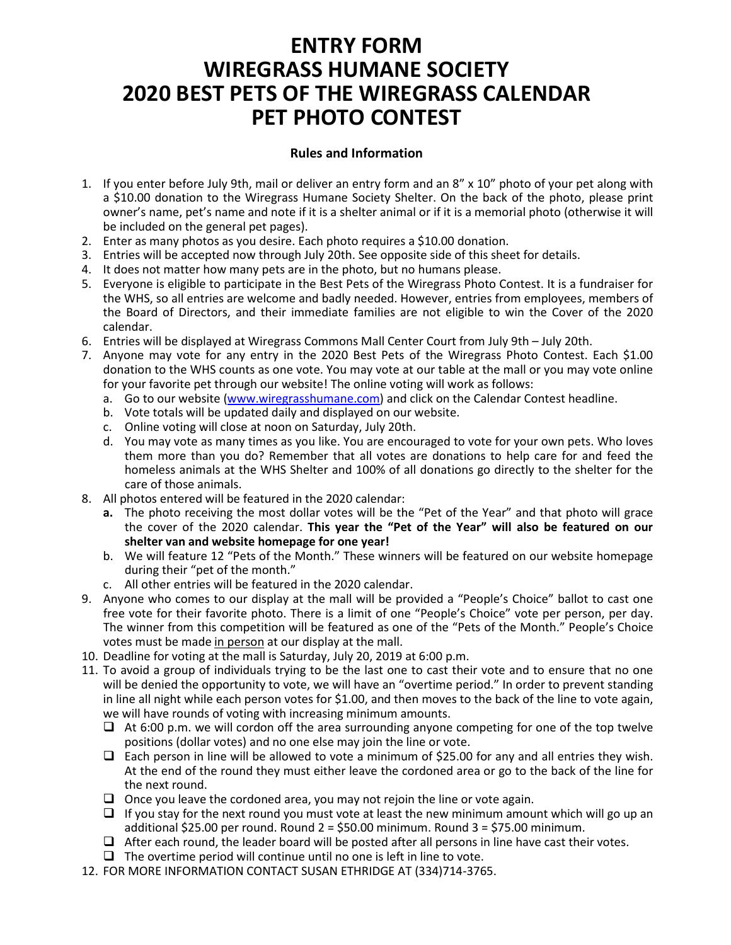# **ENTRY FORM WIREGRASS HUMANE SOCIETY 2020 BEST PETS OF THE WIREGRASS CALENDAR PET PHOTO CONTEST**

#### **Rules and Information**

- 1. If you enter before July 9th, mail or deliver an entry form and an 8" x 10" photo of your pet along with a \$10.00 donation to the Wiregrass Humane Society Shelter. On the back of the photo, please print owner's name, pet's name and note if it is a shelter animal or if it is a memorial photo (otherwise it will be included on the general pet pages).
- 2. Enter as many photos as you desire. Each photo requires a \$10.00 donation.
- 3. Entries will be accepted now through July 20th. See opposite side of this sheet for details.
- 4. It does not matter how many pets are in the photo, but no humans please.
- 5. Everyone is eligible to participate in the Best Pets of the Wiregrass Photo Contest. It is a fundraiser for the WHS, so all entries are welcome and badly needed. However, entries from employees, members of the Board of Directors, and their immediate families are not eligible to win the Cover of the 2020 calendar.
- 6. Entries will be displayed at Wiregrass Commons Mall Center Court from July 9th July 20th.
- 7. Anyone may vote for any entry in the 2020 Best Pets of the Wiregrass Photo Contest. Each \$1.00 donation to the WHS counts as one vote. You may vote at our table at the mall or you may vote online for your favorite pet through our website! The online voting will work as follows:
	- a. Go to our website [\(www.wiregrasshumane.com\)](http://www.wiregrasshumane.com/) and click on the Calendar Contest headline.
	- b. Vote totals will be updated daily and displayed on our website.
	- c. Online voting will close at noon on Saturday, July 20th.
	- d. You may vote as many times as you like. You are encouraged to vote for your own pets. Who loves them more than you do? Remember that all votes are donations to help care for and feed the homeless animals at the WHS Shelter and 100% of all donations go directly to the shelter for the care of those animals.
- 8. All photos entered will be featured in the 2020 calendar:
	- **a.** The photo receiving the most dollar votes will be the "Pet of the Year" and that photo will grace the cover of the 2020 calendar. **This year the "Pet of the Year" will also be featured on our shelter van and website homepage for one year!**
	- b. We will feature 12 "Pets of the Month." These winners will be featured on our website homepage during their "pet of the month."
	- c. All other entries will be featured in the 2020 calendar.
- 9. Anyone who comes to our display at the mall will be provided a "People's Choice" ballot to cast one free vote for their favorite photo. There is a limit of one "People's Choice" vote per person, per day. The winner from this competition will be featured as one of the "Pets of the Month." People's Choice votes must be made in person at our display at the mall.
- 10. Deadline for voting at the mall is Saturday, July 20, 2019 at 6:00 p.m.
- 11. To avoid a group of individuals trying to be the last one to cast their vote and to ensure that no one will be denied the opportunity to vote, we will have an "overtime period." In order to prevent standing in line all night while each person votes for \$1.00, and then moves to the back of the line to vote again, we will have rounds of voting with increasing minimum amounts.
	- $\Box$  At 6:00 p.m. we will cordon off the area surrounding anyone competing for one of the top twelve positions (dollar votes) and no one else may join the line or vote.
	- $\Box$  Each person in line will be allowed to vote a minimum of \$25.00 for any and all entries they wish. At the end of the round they must either leave the cordoned area or go to the back of the line for the next round.
	- $\Box$  Once you leave the cordoned area, you may not rejoin the line or vote again.
	- $\Box$  If you stay for the next round you must vote at least the new minimum amount which will go up an additional \$25.00 per round. Round  $2 = $50.00$  minimum. Round  $3 = $75.00$  minimum.
	- $\Box$  After each round, the leader board will be posted after all persons in line have cast their votes.
	- $\Box$  The overtime period will continue until no one is left in line to vote.
- 12. FOR MORE INFORMATION CONTACT SUSAN ETHRIDGE AT (334)714-3765.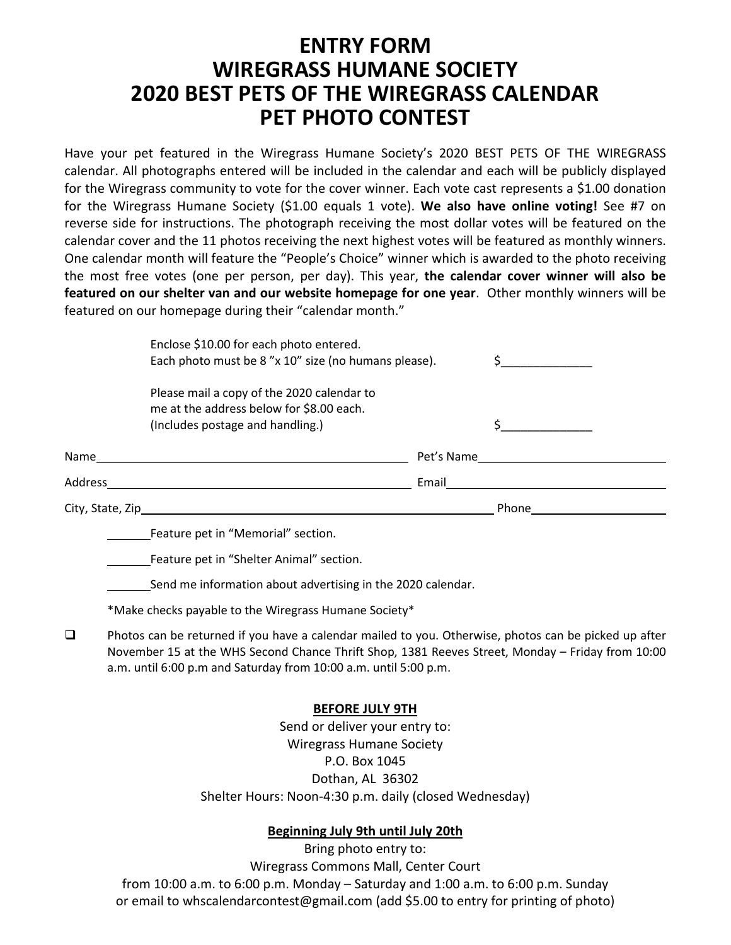## **ENTRY FORM WIREGRASS HUMANE SOCIETY 2020 BEST PETS OF THE WIREGRASS CALENDAR PET PHOTO CONTEST**

Have your pet featured in the Wiregrass Humane Society's 2020 BEST PETS OF THE WIREGRASS calendar. All photographs entered will be included in the calendar and each will be publicly displayed for the Wiregrass community to vote for the cover winner. Each vote cast represents a \$1.00 donation for the Wiregrass Humane Society (\$1.00 equals 1 vote). **We also have online voting!** See #7 on reverse side for instructions. The photograph receiving the most dollar votes will be featured on the calendar cover and the 11 photos receiving the next highest votes will be featured as monthly winners. One calendar month will feature the "People's Choice" winner which is awarded to the photo receiving the most free votes (one per person, per day). This year, **the calendar cover winner will also be featured on our shelter van and our website homepage for one year**. Other monthly winners will be featured on our homepage during their "calendar month."

|                   | Enclose \$10.00 for each photo entered.<br>Each photo must be 8"x 10" size (no humans please).                             |            |       |
|-------------------|----------------------------------------------------------------------------------------------------------------------------|------------|-------|
|                   | Please mail a copy of the 2020 calendar to<br>me at the address below for \$8.00 each.<br>(Includes postage and handling.) |            |       |
| Name              |                                                                                                                            | Pet's Name |       |
| Address           |                                                                                                                            | Email      |       |
| City, State, Zip_ |                                                                                                                            |            | Phone |

Feature pet in "Memorial" section.

Feature pet in "Shelter Animal" section.

Send me information about advertising in the 2020 calendar.

\*Make checks payable to the Wiregrass Humane Society\*

 $\Box$  Photos can be returned if you have a calendar mailed to you. Otherwise, photos can be picked up after November 15 at the WHS Second Chance Thrift Shop, 1381 Reeves Street, Monday – Friday from 10:00 a.m. until 6:00 p.m and Saturday from 10:00 a.m. until 5:00 p.m.

### **BEFORE JULY 9TH**

Send or deliver your entry to: Wiregrass Humane Society P.O. Box 1045 Dothan, AL 36302 Shelter Hours: Noon-4:30 p.m. daily (closed Wednesday)

### **Beginning July 9th until July 20th**

Bring photo entry to: Wiregrass Commons Mall, Center Court from 10:00 a.m. to 6:00 p.m. Monday – Saturday and 1:00 a.m. to 6:00 p.m. Sunday or email to whscalendarcontest@gmail.com (add \$5.00 to entry for printing of photo)